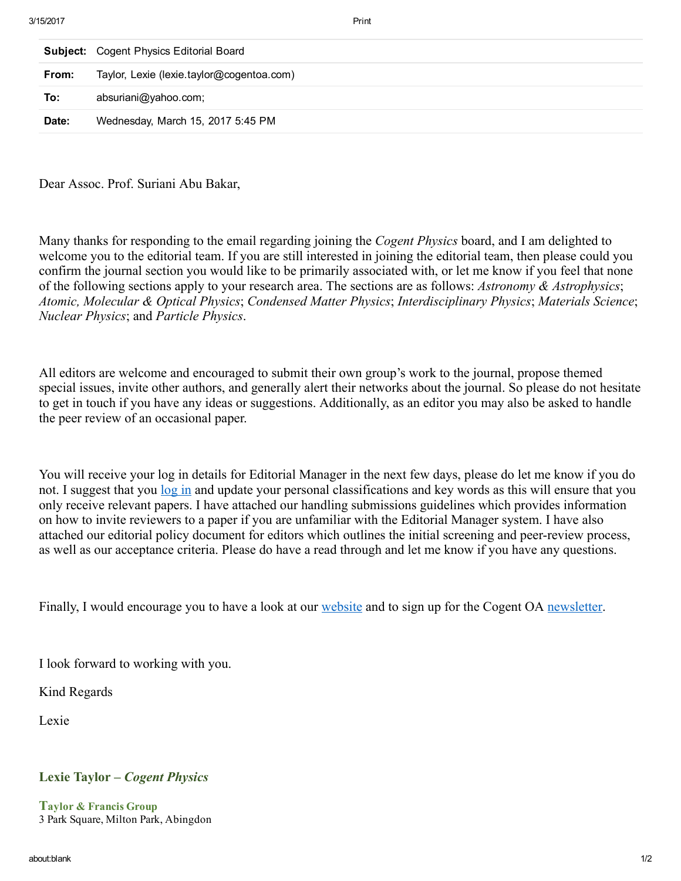|       | <b>Subject:</b> Cogent Physics Editorial Board |
|-------|------------------------------------------------|
| From: | Taylor, Lexie (lexie.taylor@cogentoa.com)      |
| To:   | absuriani@yahoo.com;                           |
| Date: | Wednesday, March 15, 2017 5:45 PM              |
|       |                                                |

Dear Assoc. Prof. Suriani Abu Bakar,

Many thanks for responding to the email regarding joining the *Cogent Physics* board, and I am delighted to welcome you to the editorial team. If you are still interested in joining the editorial team, then please could you confirm the journal section you would like to be primarily associated with, or let me know if you feel that none of the following sections apply to your research area. The sections are as follows: *Astronomy & Astrophysics*; *Atomic, Molecular & Optical Physics*; *Condensed Matter Physics*; *Interdisciplinary Physics*; *Materials Science*; *Nuclear Physics*; and *Particle Physics*.

All editors are welcome and encouraged to submit their own group's work to the journal, propose themed special issues, invite other authors, and generally alert their networks about the journal. So please do not hesitate to get in touch if you have any ideas or suggestions. Additionally, as an editor you may also be asked to handle the peer review of an occasional paper.

You will receive your log in details for Editorial Manager in the next few days, please do let me know if you do not. I suggest that you [log](http://www.editorialmanager.com/cogentphys/default.aspx) in and update your personal classifications and key words as this will ensure that you only receive relevant papers. I have attached our handling submissions guidelines which provides information on how to invite reviewers to a paper if you are unfamiliar with the Editorial Manager system. I have also attached our editorial policy document for editors which outlines the initial screening and peer-review process, as well as our acceptance criteria. Please do have a read through and let me know if you have any questions.

Finally, I would encourage you to have a look at our [website](https://www.cogentoa.com/journal/physics) and to sign up for the Cogent OA [newsletter.](http://eupdates.msgfocus.com/k/Tandf-Eupdates/cogentoa_update)

I look forward to working with you.

Kind Regards

Lexie

## Lexie Taylor – *Cogent Physics*

Taylor & Francis Group 3 Park Square, Milton Park, Abingdon